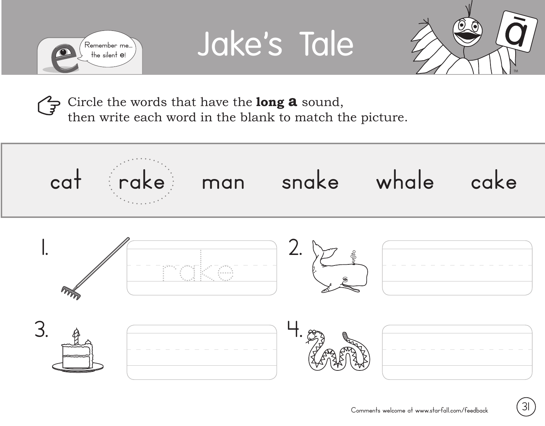





Circle the words that have the **long a** sound, then write each word in the blank to match the picture.

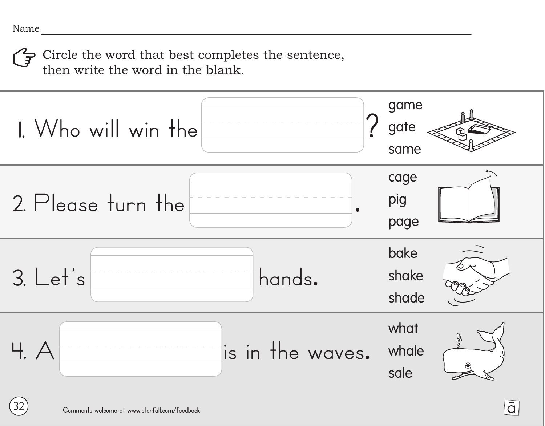**32**

Circle the word that best completes the sentence, then write the word in the blank.

![](_page_1_Figure_2.jpeg)

 $\overline{\overline{G}}$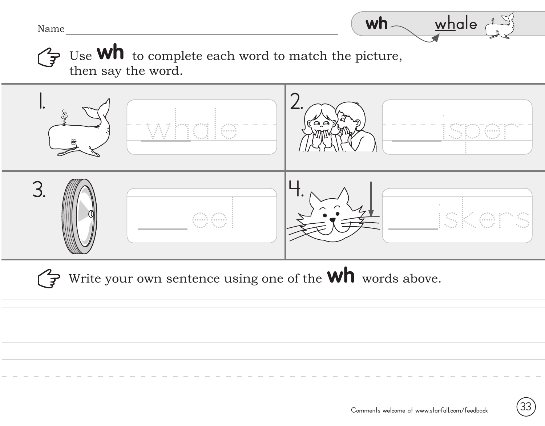Name

Use **Wh** to complete each word to match the picture,  $\overleftrightarrow{f}$ then say the word.

![](_page_2_Figure_2.jpeg)

Write your own sentence using one of the **Wh** words above.

 $wh_{\frown}$  whale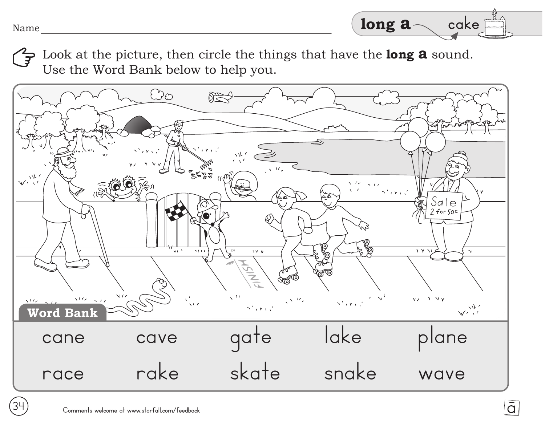Look at the picture, then circle the things that have the **long a** sound. Use the Word Bank below to help you.

![](_page_3_Figure_1.jpeg)

 $\overline{\overline{d}}$ 

**34**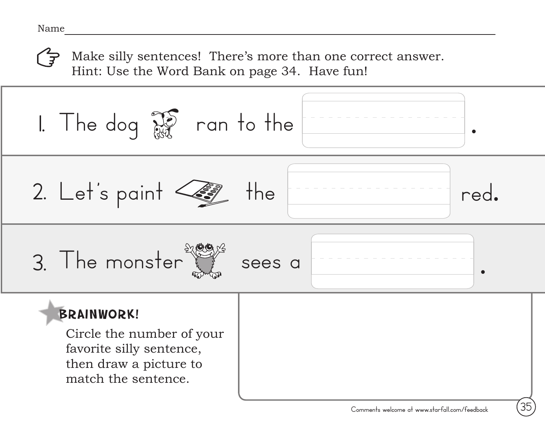Make silly sentences! There's more than one correct answer. Hint: Use the Word Bank on page 34. Have fun!

![](_page_4_Picture_2.jpeg)